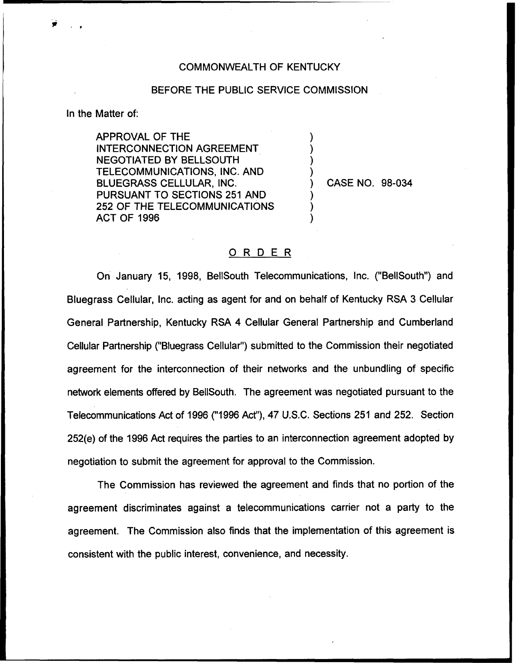## COMMONWEALTH OF KENTUCKY

## BEFORE THE PUBLIC SERVICE COMMISSION

) ) ) )

> ) ) )

In the Matter of:

APPROVAL OF THE INTERCONNECTION AGREEMENT NEGOTIATED BY BELLSOUTH TELECOMMUNICATIONS, INC. AND BLUEGRASS CELLULAR, INC. PURSUANT TO SECTIONS 251 AND 252 OF THE TELECOMMUNICATIONS ACT OF 1996

) CASE NO. 98-034

## ORDER

On January 15, 1998, BellSouth Telecommunications, Inc. ("BelISouth") and Bluegrass Cellular, Inc, acting as agent for and on behalf of Kentucky RSA 3 Cellular General Partnership, Kentucky RSA 4 Cellular General Partnership and Cumberland Cellular Partnership ("Bluegrass Cellular") submitted to the Commission their negotiate agreement for the interconnection of their networks and the unbundling of specific network elements offered by BellSouth. The agreement was negotiated pursuant to the Telecommunications Act of 1996 ("1996Act"), 47 U.S.C. Sections 251 and 252. Section 252(e) of the 1996 Act requires the parties to an interconnection agreement adopted by negotiation to submit the agreement for approval to the Commission.

The Commission has reviewed the agreement and finds that no portion of the agreement discriminates against a telecommunications carrier not a party to the agreement. The Commission also finds that the implementation of this agreement is consistent with the public interest, convenience, and necessity.